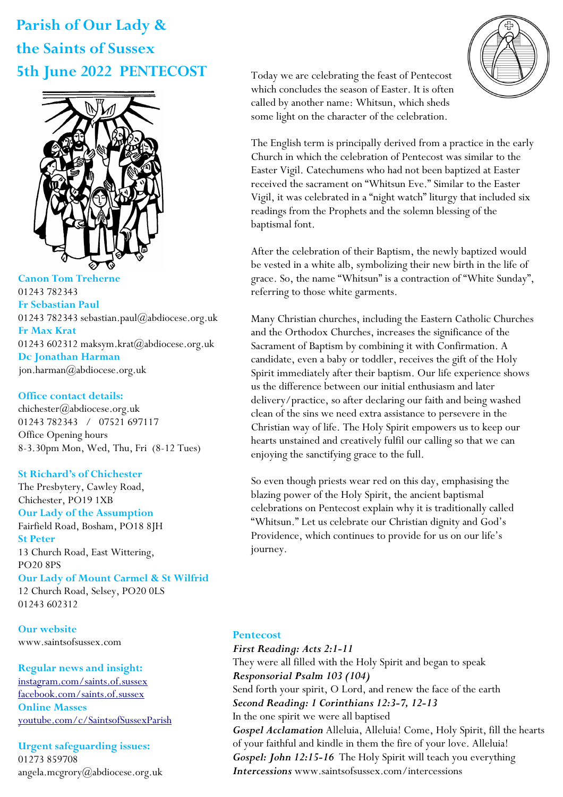# **Parish of Our Lady & the Saints of Sussex 5th June 2022 PENTECOST**



**Canon Tom Treherne**  01243 782343 **Fr Sebastian Paul**  01243 782343 sebastian.paul@abdiocese.org.uk **Fr Max Krat**  01243 602312 maksym.krat@abdiocese.org.uk **Dc Jonathan Harman**  [jon.harman@abdiocese.org.uk](mailto:jon.harman@abdiocese.org.uk)

#### **Office contact details:**

chichester@abdiocese.org.uk 01243 782343 / 07521 697117 Office Opening hours 8-3.30pm Mon, Wed, Thu, Fri (8-12 Tues)

## **St Richard's of Chichester**

The Presbytery, Cawley Road, Chichester, PO19 1XB **Our Lady of the Assumption**  Fairfield Road, Bosham, PO18 8JH **St Peter**  13 Church Road, East Wittering, PO20 8PS **Our Lady of Mount Carmel & St Wilfrid** 12 Church Road, Selsey, PO20 0LS 01243 602312

**Our website**  www.saintsofsussex.com

## **Regular news and insight:**

[instagram.com/saints.of.sussex](https://instagram.com/saints.of.sussex) [facebook.com/saints.of.sussex](https://facebook.com/saints.of.sussex) **Online Masses**  <youtube.com/c/SaintsofSussexParish>

**Urgent safeguarding issues:**  01273 859708 angela.mcgrory@abdiocese.org.uk Today we are celebrating the feast of Pentecost which concludes the season of Easter. It is often called by another name: Whitsun, which sheds some light on the character of the celebration.



The English term is principally derived from a practice in the early Church in which the celebration of Pentecost was similar to the Easter Vigil. Catechumens who had not been baptized at Easter received the sacrament on "Whitsun Eve." Similar to the Easter Vigil, it was celebrated in a "night watch" liturgy that included six readings from the Prophets and the solemn blessing of the baptismal font.

After the celebration of their Baptism, the newly baptized would be vested in a white alb, symbolizing their new birth in the life of grace. So, the name "Whitsun" is a contraction of "White Sunday", referring to those white garments.

Many Christian churches, including the Eastern Catholic Churches and the Orthodox Churches, increases the significance of the Sacrament of Baptism by combining it with Confirmation. A candidate, even a baby or toddler, receives the gift of the Holy Spirit immediately after their baptism. Our life experience shows us the difference between our initial enthusiasm and later delivery/practice, so after declaring our faith and being washed clean of the sins we need extra assistance to persevere in the Christian way of life. The Holy Spirit empowers us to keep our hearts unstained and creatively fulfil our calling so that we can enjoying the sanctifying grace to the full.

So even though priests wear red on this day, emphasising the blazing power of the Holy Spirit, the ancient baptismal celebrations on Pentecost explain why it is traditionally called "Whitsun." Let us celebrate our Christian dignity and God's Providence, which continues to provide for us on our life's journey.

## **Pentecost**

*First Reading: Acts 2:1-11*  They were all filled with the Holy Spirit and began to speak *Responsorial Psalm 103 (104)*  Send forth your spirit, O Lord, and renew the face of the earth *Second Reading: 1 Corinthians 12:3-7, 12-13*  In the one spirit we were all baptised *Gospel Acclamation* Alleluia, Alleluia! Come, Holy Spirit, fill the hearts of your faithful and kindle in them the fire of your love. Alleluia! *Gospel: John 12:15-16* The Holy Spirit will teach you everything *Intercessions* www.saintsofsussex.com/intercessions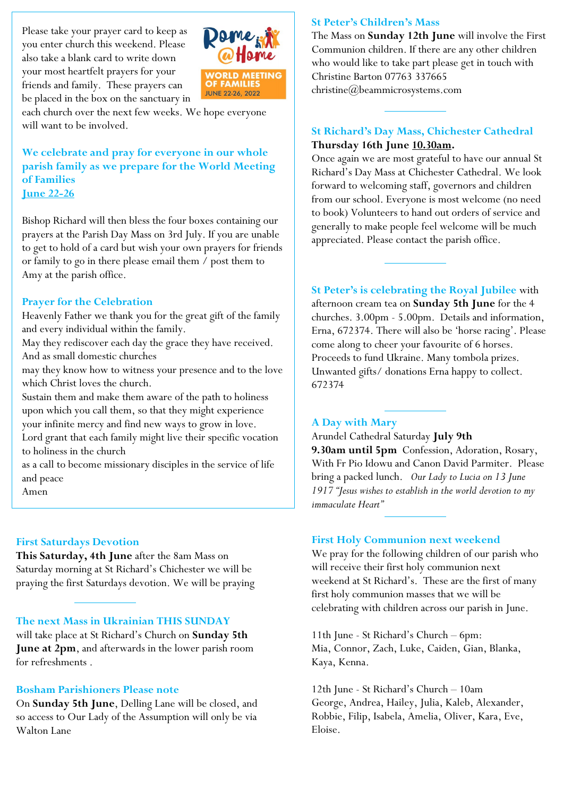Please take your prayer card to keep as you enter church this weekend. Please also take a blank card to write down your most heartfelt prayers for your friends and family. These prayers can be placed in the box on the sanctuary in



each church over the next few weeks. We hope everyone will want to be involved.

**We celebrate and pray for everyone in our whole parish family as we prepare for the World Meeting of Families June 22-26** 

Bishop Richard will then bless the four boxes containing our prayers at the Parish Day Mass on 3rd July. If you are unable to get to hold of a card but wish your own prayers for friends or family to go in there please email them / post them to Amy at the parish office.

#### **Prayer for the Celebration**

Heavenly Father we thank you for the great gift of the family and every individual within the family.

May they rediscover each day the grace they have received. And as small domestic churches

may they know how to witness your presence and to the love which Christ loves the church.

Sustain them and make them aware of the path to holiness upon which you call them, so that they might experience your infinite mercy and find new ways to grow in love.

Lord grant that each family might live their specific vocation to holiness in the church

as a call to become missionary disciples in the service of life and peace

Amen

#### **First Saturdays Devotion**

**This Saturday, 4th June** after the 8am Mass on Saturday morning at St Richard's Chichester we will be praying the first Saturdays devotion. We will be praying

#### **The next Mass in Ukrainian THIS SUNDAY**

will take place at St Richard's Church on **Sunday 5th June at 2pm**, and afterwards in the lower parish room for refreshments .

#### **Bosham Parishioners Please note**

On **Sunday 5th June**, Delling Lane will be closed, and so access to Our Lady of the Assumption will only be via Walton Lane

#### **St Peter's Children's Mass**

The Mass on **Sunday 12th June** will involve the First Communion children. If there are any other children who would like to take part please get in touch with Christine Barton 07763 [337665](mailto:337665/christine@beammicrosystems.com)  [christine@beammicrosystems.com](mailto:337665/christine@beammicrosystems.com)

#### **St Richard's Day Mass, Chichester Cathedral Thursday 16th June 10.30am.**

Once again we are most grateful to have our annual St Richard's Day Mass at Chichester Cathedral. We look forward to welcoming staff, governors and children from our school. Everyone is most welcome (no need to book) Volunteers to hand out orders of service and generally to make people feel welcome will be much appreciated. Please contact the parish office.

**St Peter's is celebrating the Royal Jubilee** with afternoon cream tea on **Sunday 5th June** for the 4 churches. 3.00pm - 5.00pm. Details and information, Erna, 672374. There will also be 'horse racing'. Please come along to cheer your favourite of 6 horses. Proceeds to fund Ukraine. Many tombola prizes. Unwanted gifts/ donations Erna happy to collect. 672374

#### **A Day with Mary**

Arundel Cathedral Saturday **July 9th 9.30am until 5pm** Confession, Adoration, Rosary, With Fr Pio Idowu and Canon David Parmiter. Please bring a packed lunch. *Our Lady to Lucia on 13 June 1917 "Jesus wishes to establish in the world devotion to my immaculate Heart"*

#### **First Holy Communion next weekend**

We pray for the following children of our parish who will receive their first holy communion next weekend at St Richard's. These are the first of many first holy communion masses that we will be celebrating with children across our parish in June.

11th June - St Richard's Church – 6pm: Mia, Connor, Zach, Luke, Caiden, Gian, Blanka, Kaya, Kenna.

12th June - St Richard's Church – 10am George, Andrea, Hailey, Julia, Kaleb, Alexander, Robbie, Filip, Isabela, Amelia, Oliver, Kara, Eve, Eloise.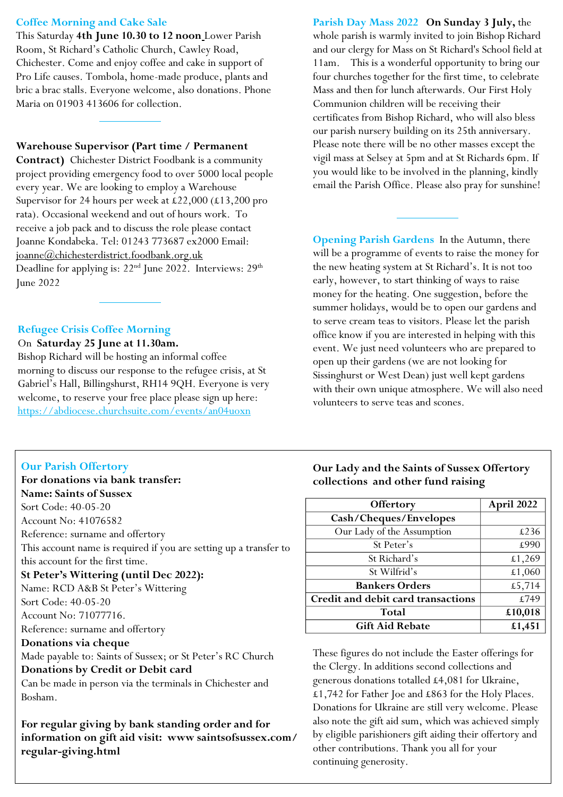#### **Coffee Morning and Cake Sale**

This Saturday **4th June 10.30 to 12 noon** Lower Parish Room, St Richard's Catholic Church, Cawley Road, Chichester. Come and enjoy coffee and cake in support of Pro Life causes. Tombola, home-made produce, plants and bric a brac stalls. Everyone welcome, also donations. Phone Maria on 01903 413606 for collection.

#### **Warehouse Supervisor (Part time / Permanent**

**Contract)** Chichester District Foodbank is a community project providing emergency food to over 5000 local people every year. We are looking to employ a Warehouse Supervisor for 24 hours per week at £22,000 (£13,200 pro rata). Occasional weekend and out of hours work. To receive a job pack and to discuss the role please contact Joanne Kondabeka. Tel: 01243 773687 ex2000 Email: [joanne@chichesterdistrict.foodbank.org.uk](mailto:joanne@chichesterdistrict.foodbank.org.uk)  Deadline for applying is:  $22<sup>nd</sup>$  June 2022. Interviews:  $29<sup>th</sup>$ June 2022

### **Refugee Crisis Coffee Morning**

#### On **Saturday 25 June at 11.30am.**

Bishop Richard will be hosting an informal coffee morning to discuss our response to the refugee crisis, at St Gabriel's Hall, Billingshurst, RH14 9QH. Everyone is very welcome, to reserve your free place please sign up here: <https://abdiocese.churchsuite.com/events/an04uoxn>

## **Our Parish Offertory**

## **For donations via bank transfer: Name: Saints of Sussex** Sort Code: 40-05-20 Account No: 41076582 Reference: surname and offertory This account name is required if you are setting up a transfer to this account for the first time.

## **St Peter's Wittering (until Dec 2022):**

Name: RCD A&B St Peter's Wittering

Sort Code: 40-05-20

Account No: 71077716.

Reference: surname and offertory

#### **Donations via cheque**

Made payable to: Saints of Sussex; or St Peter's RC Church

## **Donations by Credit or Debit card**

Can be made in person via the terminals in Chichester and Bosham.

**For regular giving by bank standing order and for information on gift aid visit: www saintsofsussex.com/ regular-giving.html**

**Parish Day Mass 2022 On Sunday 3 July,** the whole parish is warmly invited to join Bishop Richard and our clergy for Mass on St Richard's School field at 11am. This is a wonderful opportunity to bring our four churches together for the first time, to celebrate Mass and then for lunch afterwards. Our First Holy Communion children will be receiving their certificates from Bishop Richard, who will also bless our parish nursery building on its 25th anniversary. Please note there will be no other masses except the vigil mass at Selsey at 5pm and at St Richards 6pm. If you would like to be involved in the planning, kindly email the Parish Office. Please also pray for sunshine!

**Opening Parish Gardens** In the Autumn, there will be a programme of events to raise the money for the new heating system at St Richard's. It is not too early, however, to start thinking of ways to raise money for the heating. One suggestion, before the summer holidays, would be to open our gardens and to serve cream teas to visitors. Please let the parish office know if you are interested in helping with this event. We just need volunteers who are prepared to open up their gardens (we are not looking for Sissinghurst or West Dean) just well kept gardens with their own unique atmosphere. We will also need volunteers to serve teas and scones.

## **Our Lady and the Saints of Sussex Offertory collections and other fund raising**

| Offertory                          | April 2022 |
|------------------------------------|------------|
| Cash/Cheques/Envelopes             |            |
| Our Lady of the Assumption         | £236       |
| St Peter's                         | £990       |
| St Richard's                       | £1,269     |
| St Wilfrid's                       | £1,060     |
| <b>Bankers Orders</b>              | £5,714     |
| Credit and debit card transactions | £749       |
| Total                              | £10,018    |
| <b>Gift Aid Rebate</b>             | £1,451     |

These figures do not include the Easter offerings for the Clergy. In additions second collections and generous donations totalled £4,081 for Ukraine, £1,742 for Father Joe and £863 for the Holy Places. Donations for Ukraine are still very welcome. Please also note the gift aid sum, which was achieved simply by eligible parishioners gift aiding their offertory and other contributions. Thank you all for your continuing generosity.